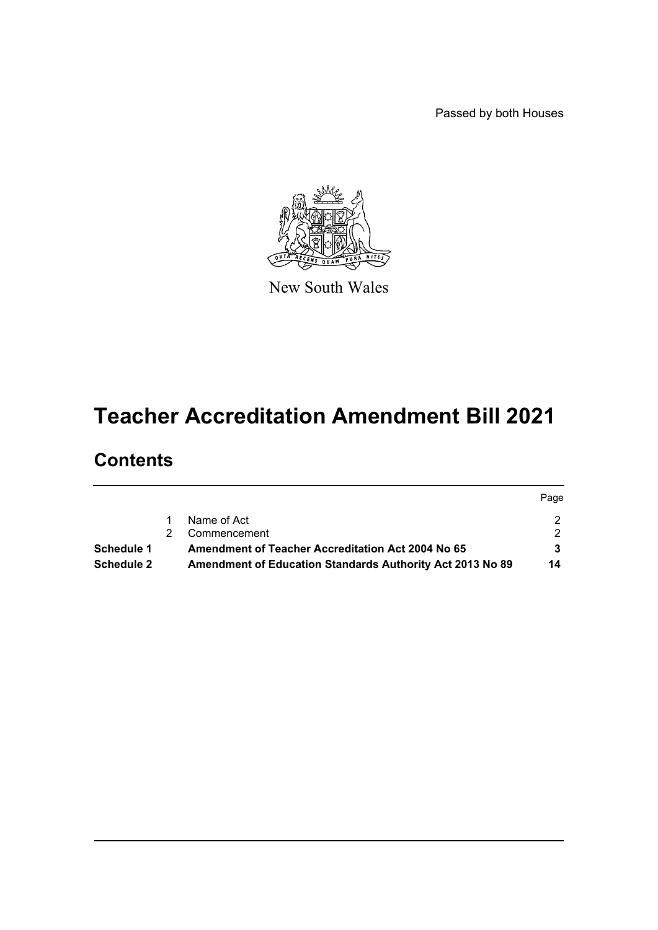Passed by both Houses



New South Wales

# **Teacher Accreditation Amendment Bill 2021**

# **Contents**

|                   |                                                           | Page |
|-------------------|-----------------------------------------------------------|------|
|                   | Name of Act                                               |      |
|                   | Commencement                                              |      |
| Schedule 1        | <b>Amendment of Teacher Accreditation Act 2004 No 65</b>  |      |
| <b>Schedule 2</b> | Amendment of Education Standards Authority Act 2013 No 89 | 14   |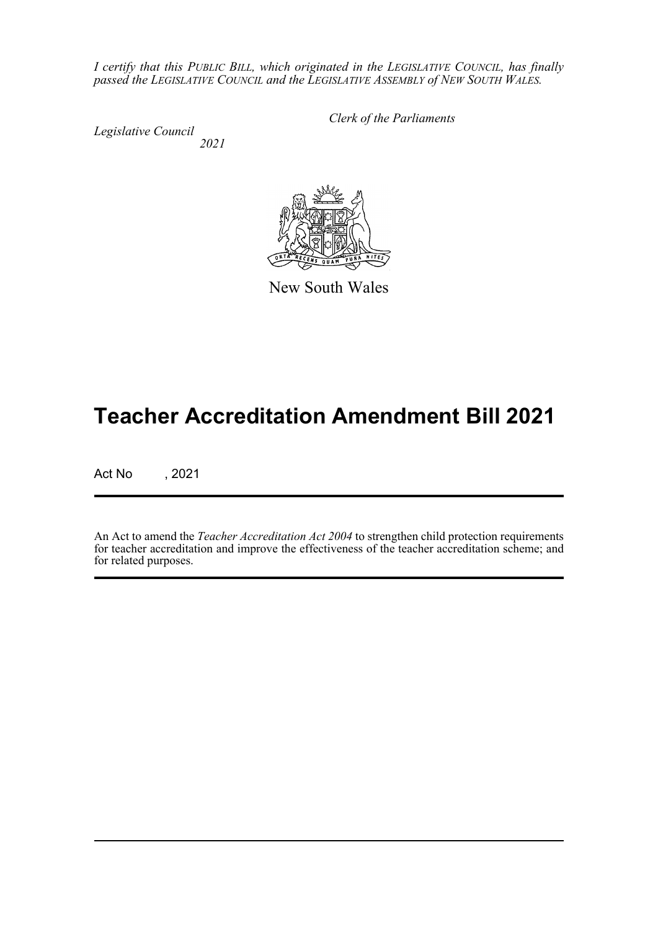*I certify that this PUBLIC BILL, which originated in the LEGISLATIVE COUNCIL, has finally passed the LEGISLATIVE COUNCIL and the LEGISLATIVE ASSEMBLY of NEW SOUTH WALES.*

*Legislative Council 2021* *Clerk of the Parliaments*

New South Wales

# **Teacher Accreditation Amendment Bill 2021**

Act No , 2021

An Act to amend the *Teacher Accreditation Act 2004* to strengthen child protection requirements for teacher accreditation and improve the effectiveness of the teacher accreditation scheme; and for related purposes.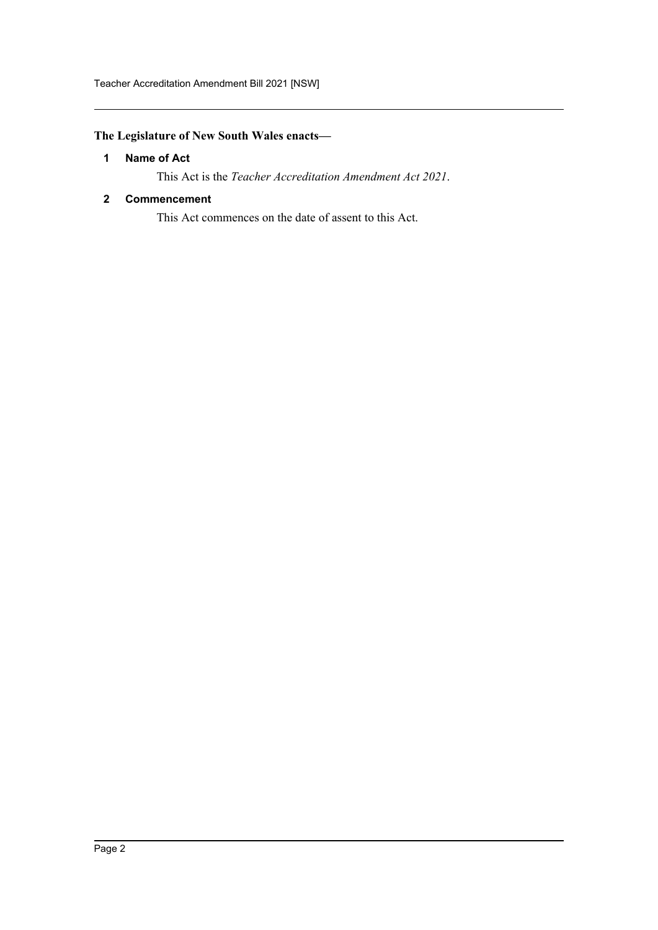# <span id="page-2-0"></span>**The Legislature of New South Wales enacts—**

### **1 Name of Act**

This Act is the *Teacher Accreditation Amendment Act 2021*.

### <span id="page-2-1"></span>**2 Commencement**

This Act commences on the date of assent to this Act.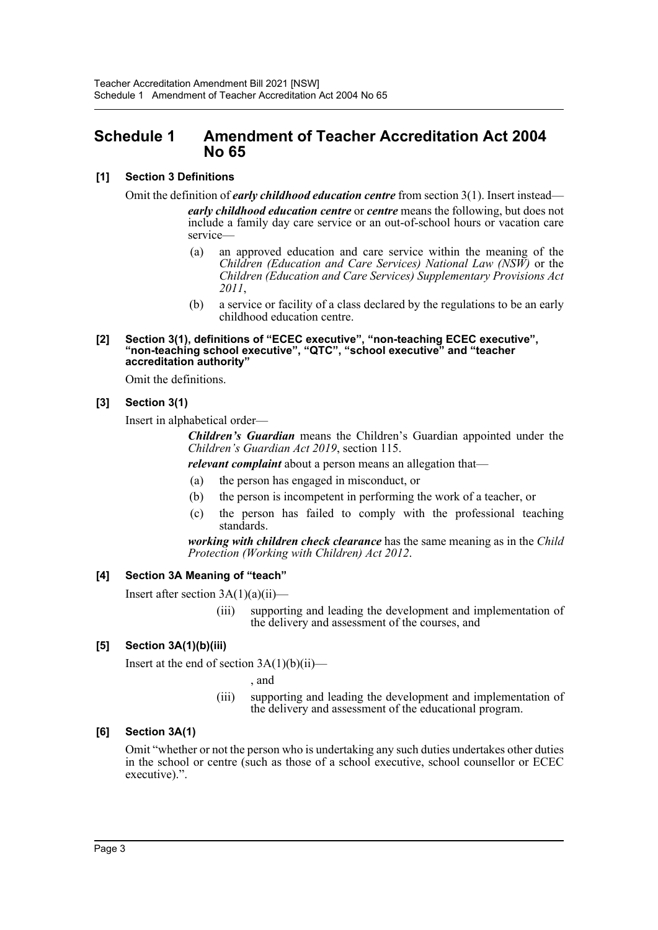# <span id="page-3-0"></span>**Schedule 1 Amendment of Teacher Accreditation Act 2004 No 65**

# **[1] Section 3 Definitions**

Omit the definition of *early childhood education centre* from section 3(1). Insert instead *early childhood education centre* or *centre* means the following, but does not include a family day care service or an out-of-school hours or vacation care service—

- (a) an approved education and care service within the meaning of the *Children (Education and Care Services) National Law (NSW)* or the *Children (Education and Care Services) Supplementary Provisions Act 2011*,
- (b) a service or facility of a class declared by the regulations to be an early childhood education centre.

#### **[2] Section 3(1), definitions of "ECEC executive", "non-teaching ECEC executive", "non-teaching school executive", "QTC", "school executive" and "teacher accreditation authority"**

Omit the definitions.

# **[3] Section 3(1)**

Insert in alphabetical order—

*Children's Guardian* means the Children's Guardian appointed under the *Children's Guardian Act 2019*, section 115.

*relevant complaint* about a person means an allegation that—

- (a) the person has engaged in misconduct, or
- (b) the person is incompetent in performing the work of a teacher, or
- (c) the person has failed to comply with the professional teaching standards.

*working with children check clearance* has the same meaning as in the *Child Protection (Working with Children) Act 2012*.

# **[4] Section 3A Meaning of "teach"**

Insert after section  $3A(1)(a)(ii)$ —

(iii) supporting and leading the development and implementation of the delivery and assessment of the courses, and

# **[5] Section 3A(1)(b)(iii)**

Insert at the end of section  $3A(1)(b)(ii)$ —

, and

(iii) supporting and leading the development and implementation of the delivery and assessment of the educational program.

# **[6] Section 3A(1)**

Omit "whether or not the person who is undertaking any such duties undertakes other duties in the school or centre (such as those of a school executive, school counsellor or ECEC executive).".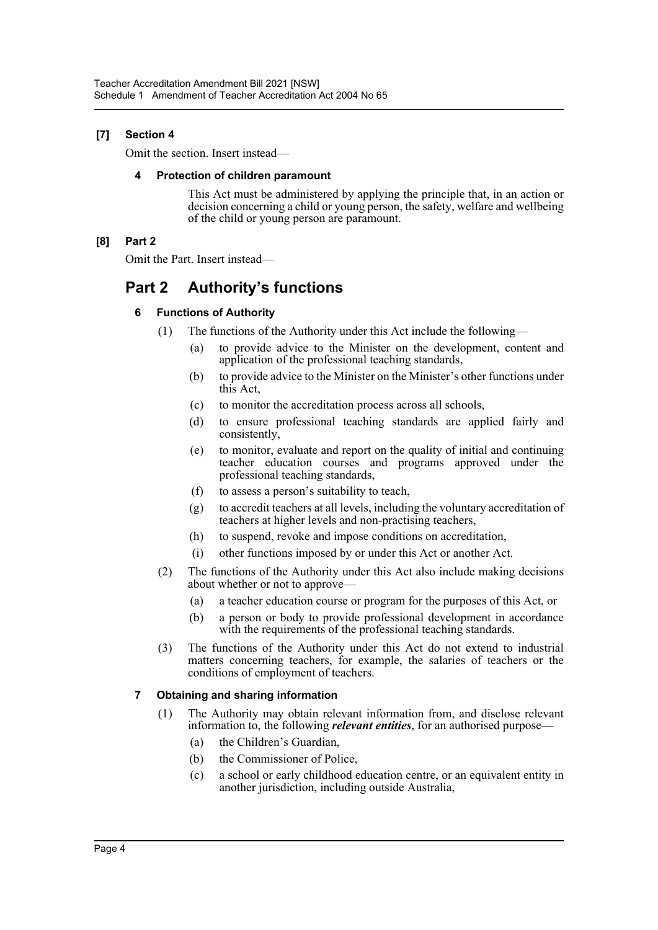# **[7] Section 4**

Omit the section. Insert instead—

### **4 Protection of children paramount**

This Act must be administered by applying the principle that, in an action or decision concerning a child or young person, the safety, welfare and wellbeing of the child or young person are paramount.

# **[8] Part 2**

Omit the Part. Insert instead—

# **Part 2 Authority's functions**

# **6 Functions of Authority**

- (1) The functions of the Authority under this Act include the following—
	- (a) to provide advice to the Minister on the development, content and application of the professional teaching standards,
	- (b) to provide advice to the Minister on the Minister's other functions under this Act,
	- (c) to monitor the accreditation process across all schools,
	- (d) to ensure professional teaching standards are applied fairly and consistently,
	- (e) to monitor, evaluate and report on the quality of initial and continuing teacher education courses and programs approved under the professional teaching standards,
	- (f) to assess a person's suitability to teach,
	- (g) to accredit teachers at all levels, including the voluntary accreditation of teachers at higher levels and non-practising teachers,
	- (h) to suspend, revoke and impose conditions on accreditation,
	- (i) other functions imposed by or under this Act or another Act.
- (2) The functions of the Authority under this Act also include making decisions about whether or not to approve—
	- (a) a teacher education course or program for the purposes of this Act, or
	- (b) a person or body to provide professional development in accordance with the requirements of the professional teaching standards.
- (3) The functions of the Authority under this Act do not extend to industrial matters concerning teachers, for example, the salaries of teachers or the conditions of employment of teachers.

# **7 Obtaining and sharing information**

- (1) The Authority may obtain relevant information from, and disclose relevant information to, the following *relevant entities*, for an authorised purpose—
	- (a) the Children's Guardian,
	- (b) the Commissioner of Police,
	- (c) a school or early childhood education centre, or an equivalent entity in another jurisdiction, including outside Australia,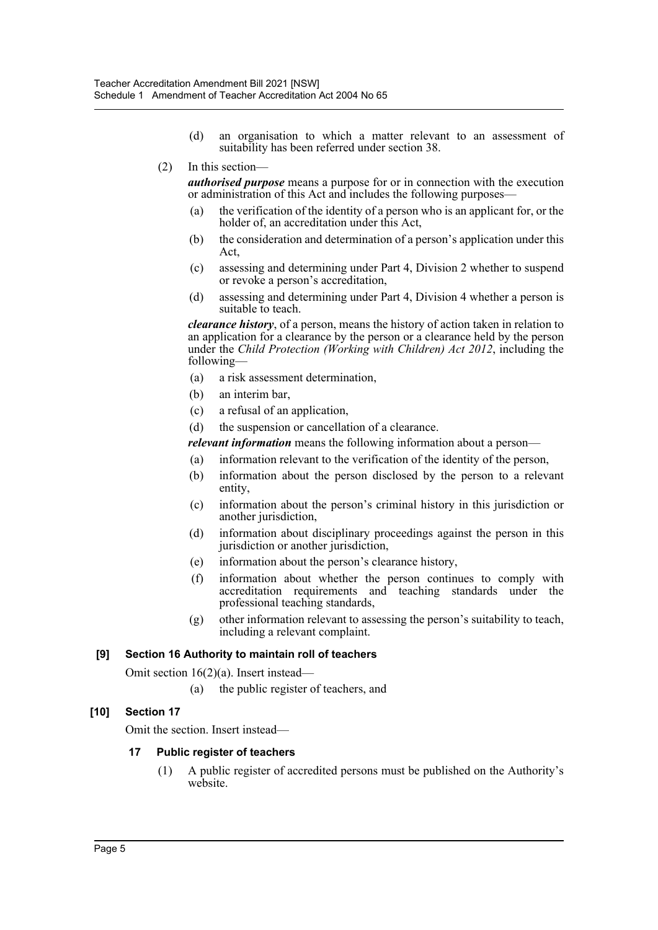- (d) an organisation to which a matter relevant to an assessment of suitability has been referred under section 38.
- (2) In this section—

*authorised purpose* means a purpose for or in connection with the execution or administration of this Act and includes the following purposes—

- (a) the verification of the identity of a person who is an applicant for, or the holder of, an accreditation under this Act,
- (b) the consideration and determination of a person's application under this Act,
- (c) assessing and determining under Part 4, Division 2 whether to suspend or revoke a person's accreditation,
- (d) assessing and determining under Part 4, Division 4 whether a person is suitable to teach.

*clearance history*, of a person, means the history of action taken in relation to an application for a clearance by the person or a clearance held by the person under the *Child Protection (Working with Children) Act 2012*, including the following—

- (a) a risk assessment determination,
- (b) an interim bar,
- (c) a refusal of an application,
- (d) the suspension or cancellation of a clearance.
- *relevant information* means the following information about a person—
- (a) information relevant to the verification of the identity of the person,
- (b) information about the person disclosed by the person to a relevant entity,
- (c) information about the person's criminal history in this jurisdiction or another jurisdiction,
- (d) information about disciplinary proceedings against the person in this jurisdiction or another jurisdiction,
- (e) information about the person's clearance history,
- (f) information about whether the person continues to comply with accreditation requirements and teaching standards under the professional teaching standards,
- (g) other information relevant to assessing the person's suitability to teach, including a relevant complaint.

# **[9] Section 16 Authority to maintain roll of teachers**

Omit section 16(2)(a). Insert instead—

(a) the public register of teachers, and

# **[10] Section 17**

Omit the section. Insert instead—

#### **17 Public register of teachers**

(1) A public register of accredited persons must be published on the Authority's website.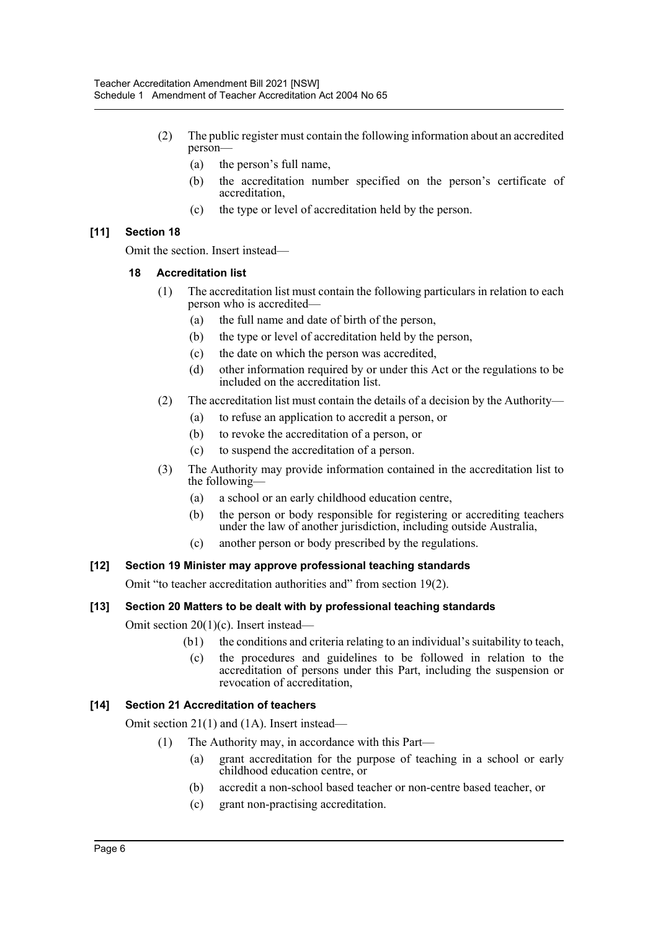- (2) The public register must contain the following information about an accredited person—
	- (a) the person's full name,
	- (b) the accreditation number specified on the person's certificate of accreditation,
	- (c) the type or level of accreditation held by the person.

# **[11] Section 18**

Omit the section. Insert instead—

# **18 Accreditation list**

- (1) The accreditation list must contain the following particulars in relation to each person who is accredited—
	- (a) the full name and date of birth of the person,
	- (b) the type or level of accreditation held by the person,
	- (c) the date on which the person was accredited,
	- (d) other information required by or under this Act or the regulations to be included on the accreditation list.
- (2) The accreditation list must contain the details of a decision by the Authority—
	- (a) to refuse an application to accredit a person, or
	- (b) to revoke the accreditation of a person, or
	- (c) to suspend the accreditation of a person.
- (3) The Authority may provide information contained in the accreditation list to the following-
	- (a) a school or an early childhood education centre,
	- (b) the person or body responsible for registering or accrediting teachers under the law of another jurisdiction, including outside Australia,
	- (c) another person or body prescribed by the regulations.

# **[12] Section 19 Minister may approve professional teaching standards**

Omit "to teacher accreditation authorities and" from section 19(2).

# **[13] Section 20 Matters to be dealt with by professional teaching standards**

Omit section 20(1)(c). Insert instead—

- (b1) the conditions and criteria relating to an individual's suitability to teach,
- (c) the procedures and guidelines to be followed in relation to the accreditation of persons under this Part, including the suspension or revocation of accreditation,

# **[14] Section 21 Accreditation of teachers**

Omit section 21(1) and (1A). Insert instead—

- (1) The Authority may, in accordance with this Part—
	- (a) grant accreditation for the purpose of teaching in a school or early childhood education centre, or
	- (b) accredit a non-school based teacher or non-centre based teacher, or
	- (c) grant non-practising accreditation.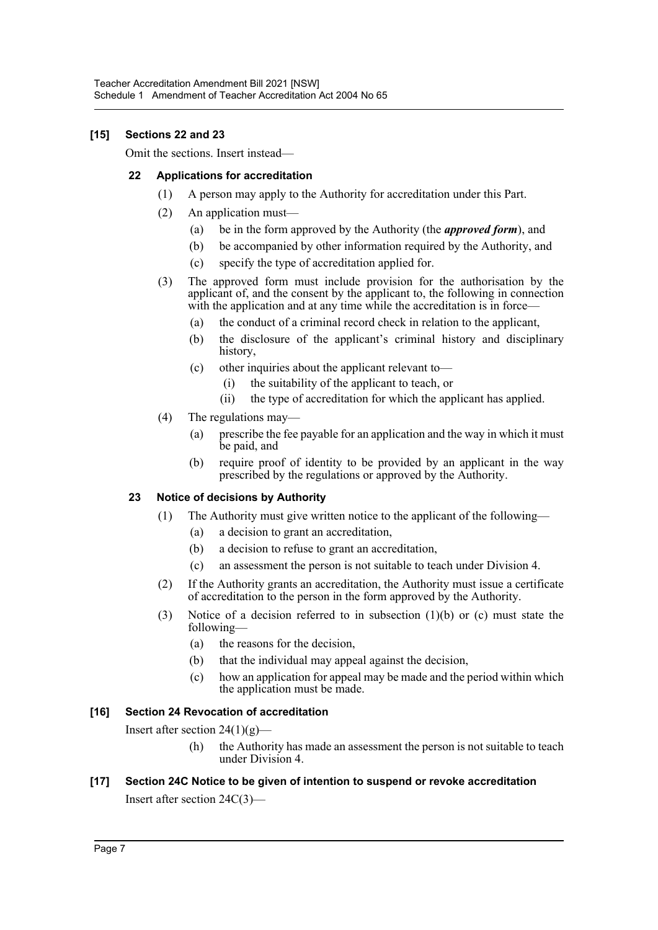# **[15] Sections 22 and 23**

Omit the sections. Insert instead—

# **22 Applications for accreditation**

- (1) A person may apply to the Authority for accreditation under this Part.
- (2) An application must—
	- (a) be in the form approved by the Authority (the *approved form*), and
	- (b) be accompanied by other information required by the Authority, and
	- (c) specify the type of accreditation applied for.
- (3) The approved form must include provision for the authorisation by the applicant of, and the consent by the applicant to, the following in connection with the application and at any time while the accreditation is in force—
	- (a) the conduct of a criminal record check in relation to the applicant,
	- (b) the disclosure of the applicant's criminal history and disciplinary history,
	- (c) other inquiries about the applicant relevant to—
		- (i) the suitability of the applicant to teach, or
		- (ii) the type of accreditation for which the applicant has applied.
- (4) The regulations may—
	- (a) prescribe the fee payable for an application and the way in which it must be paid, and
	- (b) require proof of identity to be provided by an applicant in the way prescribed by the regulations or approved by the Authority.

# **23 Notice of decisions by Authority**

- (1) The Authority must give written notice to the applicant of the following—
	- (a) a decision to grant an accreditation,
	- (b) a decision to refuse to grant an accreditation,
	- (c) an assessment the person is not suitable to teach under Division 4.
- (2) If the Authority grants an accreditation, the Authority must issue a certificate of accreditation to the person in the form approved by the Authority.
- (3) Notice of a decision referred to in subsection (1)(b) or (c) must state the following—
	- (a) the reasons for the decision,
	- (b) that the individual may appeal against the decision,
	- (c) how an application for appeal may be made and the period within which the application must be made.

# **[16] Section 24 Revocation of accreditation**

Insert after section  $24(1)(g)$ —

(h) the Authority has made an assessment the person is not suitable to teach under Division 4.

# **[17] Section 24C Notice to be given of intention to suspend or revoke accreditation**

Insert after section 24C(3)—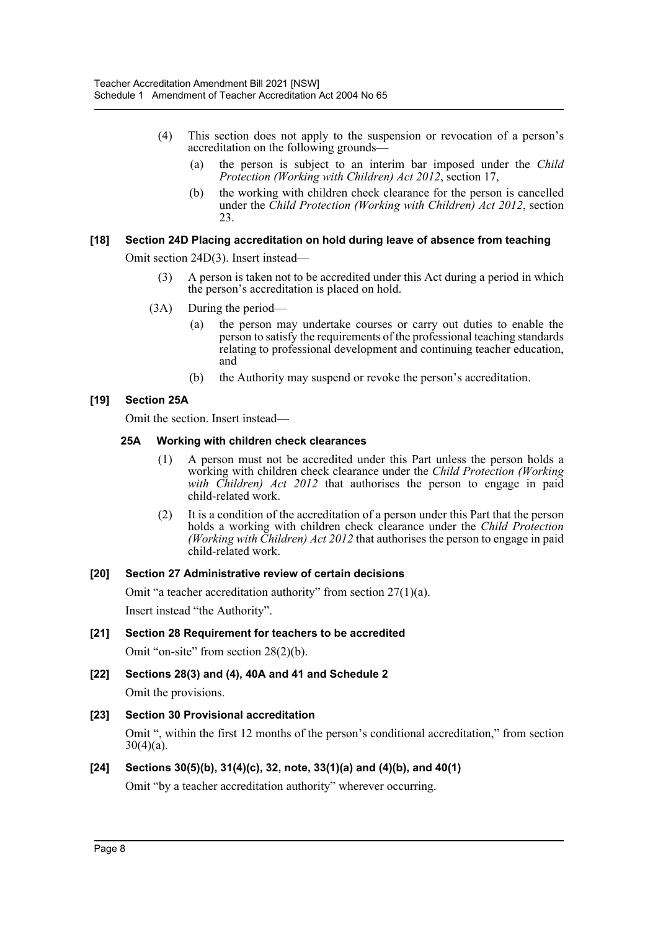- (4) This section does not apply to the suspension or revocation of a person's accreditation on the following grounds—
	- (a) the person is subject to an interim bar imposed under the *Child Protection (Working with Children) Act 2012*, section 17,
	- (b) the working with children check clearance for the person is cancelled under the *Child Protection (Working with Children) Act 2012*, section 23.

#### **[18] Section 24D Placing accreditation on hold during leave of absence from teaching**

Omit section 24D(3). Insert instead—

- (3) A person is taken not to be accredited under this Act during a period in which the person's accreditation is placed on hold.
- (3A) During the period
	- the person may undertake courses or carry out duties to enable the person to satisfy the requirements of the professional teaching standards relating to professional development and continuing teacher education, and
	- (b) the Authority may suspend or revoke the person's accreditation.

# **[19] Section 25A**

Omit the section. Insert instead—

#### **25A Working with children check clearances**

- (1) A person must not be accredited under this Part unless the person holds a working with children check clearance under the *Child Protection (Working with Children) Act 2012* that authorises the person to engage in paid child-related work.
- (2) It is a condition of the accreditation of a person under this Part that the person holds a working with children check clearance under the *Child Protection (Working with Children) Act 2012* that authorises the person to engage in paid child-related work.

#### **[20] Section 27 Administrative review of certain decisions**

Omit "a teacher accreditation authority" from section 27(1)(a).

Insert instead "the Authority".

#### **[21] Section 28 Requirement for teachers to be accredited**

Omit "on-site" from section 28(2)(b).

# **[22] Sections 28(3) and (4), 40A and 41 and Schedule 2**

Omit the provisions.

# **[23] Section 30 Provisional accreditation**

Omit ", within the first 12 months of the person's conditional accreditation," from section  $30(4)(a)$ .

# **[24] Sections 30(5)(b), 31(4)(c), 32, note, 33(1)(a) and (4)(b), and 40(1)**

Omit "by a teacher accreditation authority" wherever occurring.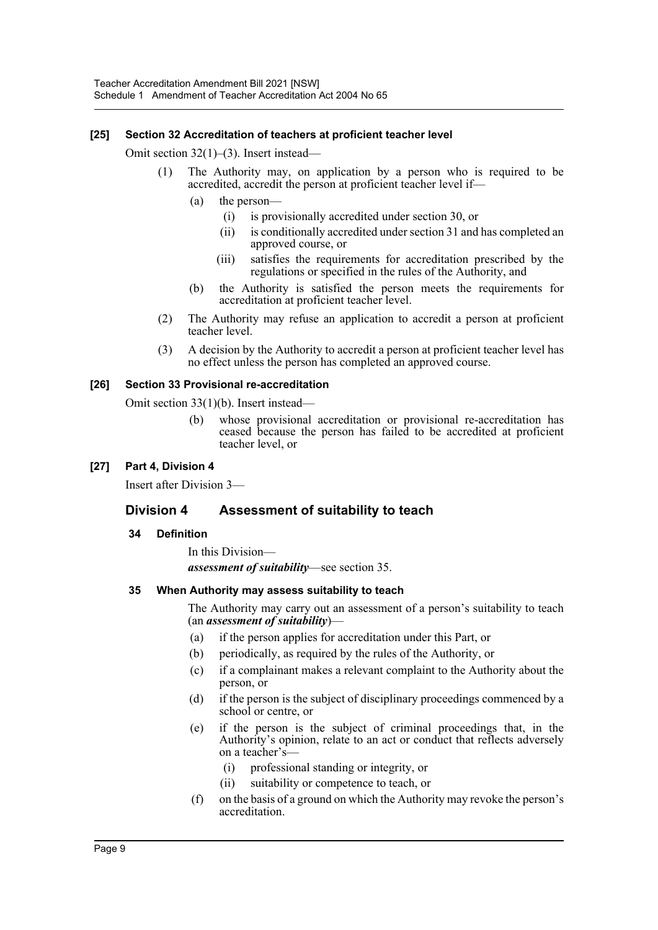#### **[25] Section 32 Accreditation of teachers at proficient teacher level**

Omit section 32(1)–(3). Insert instead—

- (1) The Authority may, on application by a person who is required to be accredited, accredit the person at proficient teacher level if—
	- (a) the person—
		- (i) is provisionally accredited under section 30, or
		- (ii) is conditionally accredited under section 31 and has completed an approved course, or
		- (iii) satisfies the requirements for accreditation prescribed by the regulations or specified in the rules of the Authority, and
	- (b) the Authority is satisfied the person meets the requirements for accreditation at proficient teacher level.
- (2) The Authority may refuse an application to accredit a person at proficient teacher level.
- (3) A decision by the Authority to accredit a person at proficient teacher level has no effect unless the person has completed an approved course.

#### **[26] Section 33 Provisional re-accreditation**

Omit section 33(1)(b). Insert instead—

(b) whose provisional accreditation or provisional re-accreditation has ceased because the person has failed to be accredited at proficient teacher level, or

#### **[27] Part 4, Division 4**

Insert after Division 3—

# **Division 4 Assessment of suitability to teach**

#### **34 Definition**

In this Division *assessment of suitability*—see section 35.

#### **35 When Authority may assess suitability to teach**

The Authority may carry out an assessment of a person's suitability to teach (an *assessment of suitability*)—

- (a) if the person applies for accreditation under this Part, or
- (b) periodically, as required by the rules of the Authority, or
- (c) if a complainant makes a relevant complaint to the Authority about the person, or
- (d) if the person is the subject of disciplinary proceedings commenced by a school or centre, or
- (e) if the person is the subject of criminal proceedings that, in the Authority's opinion, relate to an act or conduct that reflects adversely on a teacher's—
	- (i) professional standing or integrity, or
	- (ii) suitability or competence to teach, or
- (f) on the basis of a ground on which the Authority may revoke the person's accreditation.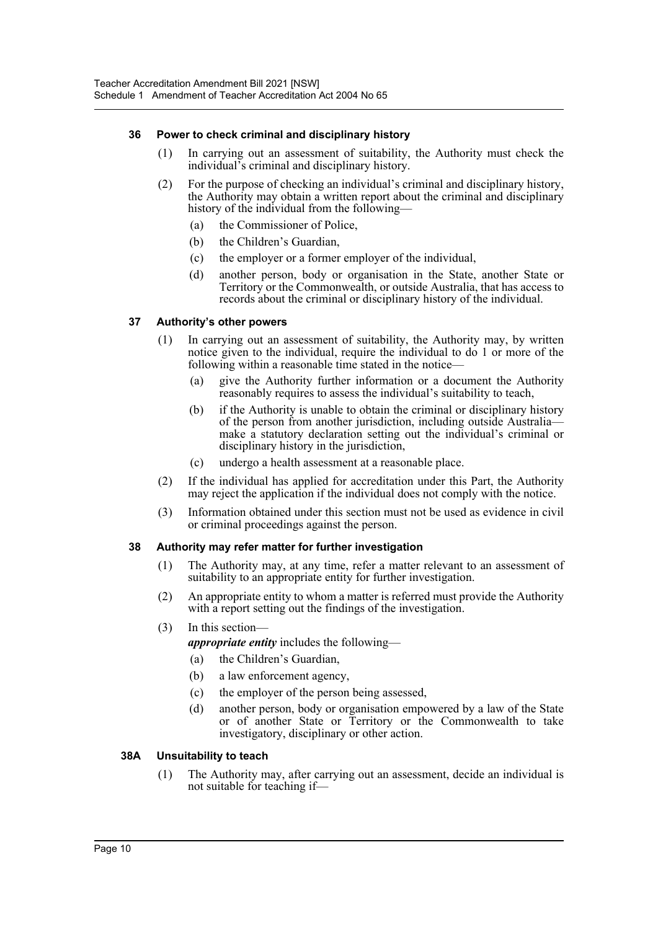# **36 Power to check criminal and disciplinary history**

- (1) In carrying out an assessment of suitability, the Authority must check the individual's criminal and disciplinary history.
- (2) For the purpose of checking an individual's criminal and disciplinary history, the Authority may obtain a written report about the criminal and disciplinary history of the individual from the following-
	- (a) the Commissioner of Police,
	- (b) the Children's Guardian,
	- (c) the employer or a former employer of the individual,
	- (d) another person, body or organisation in the State, another State or Territory or the Commonwealth, or outside Australia, that has access to records about the criminal or disciplinary history of the individual.

#### **37 Authority's other powers**

- (1) In carrying out an assessment of suitability, the Authority may, by written notice given to the individual, require the individual to do 1 or more of the following within a reasonable time stated in the notice—
	- (a) give the Authority further information or a document the Authority reasonably requires to assess the individual's suitability to teach,
	- (b) if the Authority is unable to obtain the criminal or disciplinary history of the person from another jurisdiction, including outside Australia make a statutory declaration setting out the individual's criminal or disciplinary history in the jurisdiction,
	- (c) undergo a health assessment at a reasonable place.
- (2) If the individual has applied for accreditation under this Part, the Authority may reject the application if the individual does not comply with the notice.
- (3) Information obtained under this section must not be used as evidence in civil or criminal proceedings against the person.

#### **38 Authority may refer matter for further investigation**

- (1) The Authority may, at any time, refer a matter relevant to an assessment of suitability to an appropriate entity for further investigation.
- (2) An appropriate entity to whom a matter is referred must provide the Authority with a report setting out the findings of the investigation.
- (3) In this section—

*appropriate entity* includes the following—

- (a) the Children's Guardian,
- (b) a law enforcement agency,
- (c) the employer of the person being assessed,
- (d) another person, body or organisation empowered by a law of the State or of another State or Territory or the Commonwealth to take investigatory, disciplinary or other action.

#### **38A Unsuitability to teach**

(1) The Authority may, after carrying out an assessment, decide an individual is not suitable for teaching if—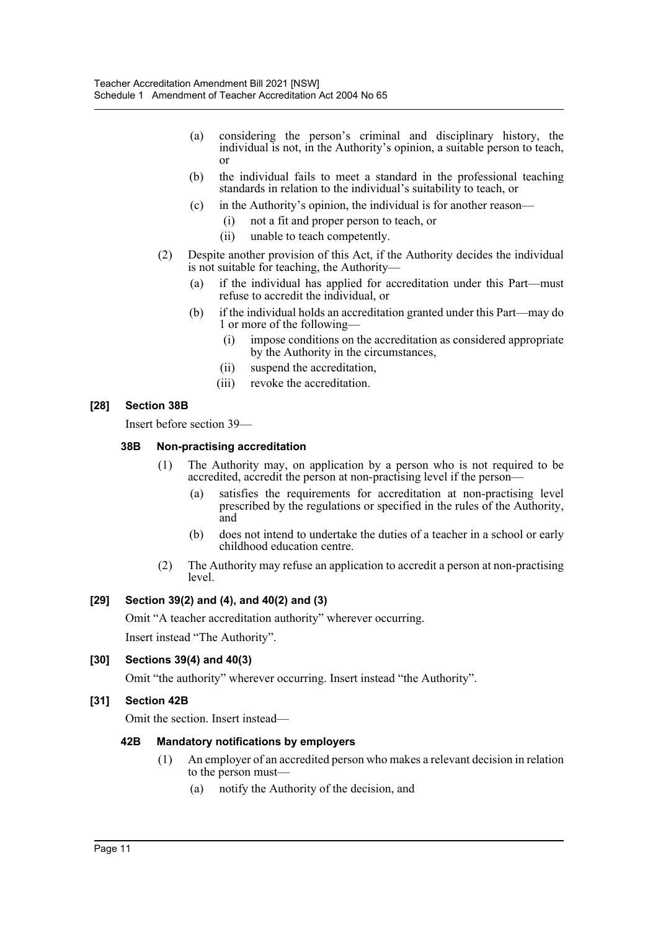- (a) considering the person's criminal and disciplinary history, the individual is not, in the Authority's opinion, a suitable person to teach, or
- (b) the individual fails to meet a standard in the professional teaching standards in relation to the individual's suitability to teach, or
- (c) in the Authority's opinion, the individual is for another reason—
	- (i) not a fit and proper person to teach, or
	- (ii) unable to teach competently.
- (2) Despite another provision of this Act, if the Authority decides the individual is not suitable for teaching, the Authority—
	- (a) if the individual has applied for accreditation under this Part—must refuse to accredit the individual, or
	- (b) if the individual holds an accreditation granted under this Part—may do 1 or more of the following—
		- (i) impose conditions on the accreditation as considered appropriate by the Authority in the circumstances,
		- (ii) suspend the accreditation,
		- (iii) revoke the accreditation.

#### **[28] Section 38B**

Insert before section 39—

#### **38B Non-practising accreditation**

- (1) The Authority may, on application by a person who is not required to be accredited, accredit the person at non-practising level if the person—
	- (a) satisfies the requirements for accreditation at non-practising level prescribed by the regulations or specified in the rules of the Authority, and
	- (b) does not intend to undertake the duties of a teacher in a school or early childhood education centre.
- (2) The Authority may refuse an application to accredit a person at non-practising level.

#### **[29] Section 39(2) and (4), and 40(2) and (3)**

Omit "A teacher accreditation authority" wherever occurring. Insert instead "The Authority".

#### **[30] Sections 39(4) and 40(3)**

Omit "the authority" wherever occurring. Insert instead "the Authority".

#### **[31] Section 42B**

Omit the section. Insert instead—

#### **42B Mandatory notifications by employers**

- (1) An employer of an accredited person who makes a relevant decision in relation to the person must—
	- (a) notify the Authority of the decision, and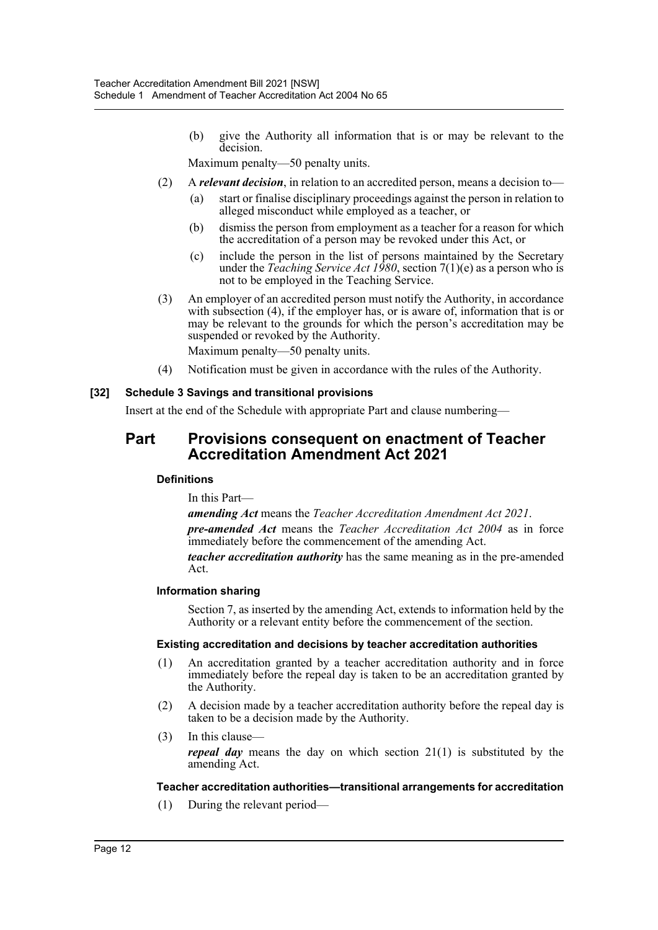(b) give the Authority all information that is or may be relevant to the decision.

Maximum penalty—50 penalty units.

- (2) A *relevant decision*, in relation to an accredited person, means a decision to—
	- (a) start or finalise disciplinary proceedings against the person in relation to alleged misconduct while employed as a teacher, or
	- (b) dismiss the person from employment as a teacher for a reason for which the accreditation of a person may be revoked under this Act, or
	- (c) include the person in the list of persons maintained by the Secretary under the *Teaching Service Act 1980*, section 7(1)(e) as a person who is not to be employed in the Teaching Service.
- (3) An employer of an accredited person must notify the Authority, in accordance with subsection (4), if the employer has, or is aware of, information that is or may be relevant to the grounds for which the person's accreditation may be suspended or revoked by the Authority.

Maximum penalty—50 penalty units.

(4) Notification must be given in accordance with the rules of the Authority.

#### **[32] Schedule 3 Savings and transitional provisions**

Insert at the end of the Schedule with appropriate Part and clause numbering—

# **Part Provisions consequent on enactment of Teacher Accreditation Amendment Act 2021**

#### **Definitions**

In this Part—

*amending Act* means the *Teacher Accreditation Amendment Act 2021*. *pre-amended Act* means the *Teacher Accreditation Act 2004* as in force immediately before the commencement of the amending Act.

*teacher accreditation authority* has the same meaning as in the pre-amended Act.

#### **Information sharing**

Section 7, as inserted by the amending Act, extends to information held by the Authority or a relevant entity before the commencement of the section.

#### **Existing accreditation and decisions by teacher accreditation authorities**

- (1) An accreditation granted by a teacher accreditation authority and in force immediately before the repeal day is taken to be an accreditation granted by the Authority.
- (2) A decision made by a teacher accreditation authority before the repeal day is taken to be a decision made by the Authority.
- (3) In this clause *repeal day* means the day on which section 21(1) is substituted by the amending Act.

#### **Teacher accreditation authorities—transitional arrangements for accreditation**

(1) During the relevant period—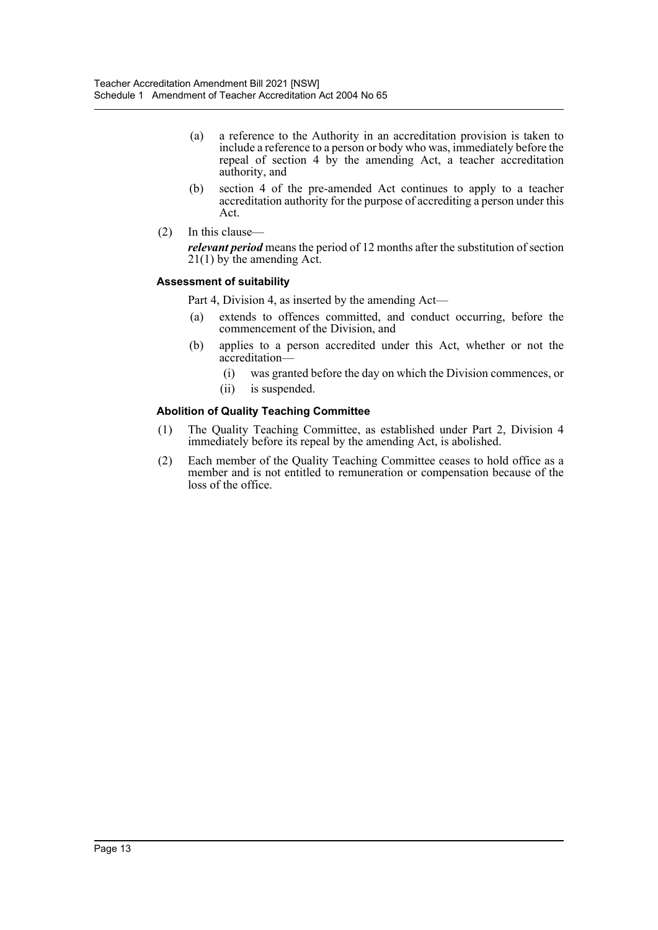- (a) a reference to the Authority in an accreditation provision is taken to include a reference to a person or body who was, immediately before the repeal of section 4 by the amending Act, a teacher accreditation authority, and
- (b) section 4 of the pre-amended Act continues to apply to a teacher accreditation authority for the purpose of accrediting a person under this Act.
- (2) In this clause *relevant period* means the period of 12 months after the substitution of section 21(1) by the amending Act.

#### **Assessment of suitability**

Part 4, Division 4, as inserted by the amending Act—

- (a) extends to offences committed, and conduct occurring, before the commencement of the Division, and
- (b) applies to a person accredited under this Act, whether or not the accreditation—
	- (i) was granted before the day on which the Division commences, or
	- (ii) is suspended.

#### **Abolition of Quality Teaching Committee**

- (1) The Quality Teaching Committee, as established under Part 2, Division 4 immediately before its repeal by the amending Act, is abolished.
- (2) Each member of the Quality Teaching Committee ceases to hold office as a member and is not entitled to remuneration or compensation because of the loss of the office.